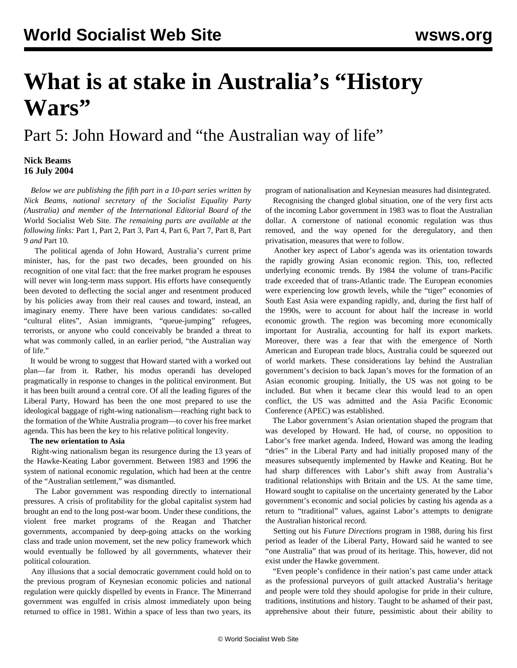# **What is at stake in Australia's "History Wars"**

Part 5: John Howard and "the Australian way of life"

### **Nick Beams 16 July 2004**

 *Below we are publishing the fifth part in a 10-part series written by Nick Beams, national secretary of the Socialist Equality Party (Australia) and member of the International Editorial Board of the* World Socialist Web Site*. The remaining parts are available at the following links:* [Part 1](/en/articles/2004/07/hiw1-j12.html)*,* [Part 2](/en/articles/2004/07/hiw2-j13.html)*,* [Part 3](/en/articles/2004/07/hiw3-j14.html)*,* [Part 4](/en/articles/2004/07/hiw4-j15.html)*,* [Part 6](/en/articles/2004/07/hiw6-j19.html)*,* [Part 7](/en/articles/2004/07/hiw7-j20.html)*,* [Part 8](/en/articles/2004/07/hiw8-j21.html)*,* [Part](/en/articles/2004/07/hiw9-j22.html) [9](/en/articles/2004/07/hiw9-j22.html) *and* [Part 10](/en/articles/2004/07/hw10-j23.html)*.*

 The political agenda of John Howard, Australia's current prime minister, has, for the past two decades, been grounded on his recognition of one vital fact: that the free market program he espouses will never win long-term mass support. His efforts have consequently been devoted to deflecting the social anger and resentment produced by his policies away from their real causes and toward, instead, an imaginary enemy. There have been various candidates: so-called "cultural elites", Asian immigrants, "queue-jumping" refugees, terrorists, or anyone who could conceivably be branded a threat to what was commonly called, in an earlier period, "the Australian way of life."

 It would be wrong to suggest that Howard started with a worked out plan—far from it. Rather, his modus operandi has developed pragmatically in response to changes in the political environment. But it has been built around a central core. Of all the leading figures of the Liberal Party, Howard has been the one most prepared to use the ideological baggage of right-wing nationalism—reaching right back to the formation of the White Australia program—to cover his free market agenda. This has been the key to his relative political longevity.

#### **The new orientation to Asia**

 Right-wing nationalism began its resurgence during the 13 years of the Hawke-Keating Labor government. Between 1983 and 1996 the system of national economic regulation, which had been at the centre of the "Australian settlement," was dismantled.

 The Labor government was responding directly to international pressures. A crisis of profitability for the global capitalist system had brought an end to the long post-war boom. Under these conditions, the violent free market programs of the Reagan and Thatcher governments, accompanied by deep-going attacks on the working class and trade union movement, set the new policy framework which would eventually be followed by all governments, whatever their political colouration.

 Any illusions that a social democratic government could hold on to the previous program of Keynesian economic policies and national regulation were quickly dispelled by events in France. The Mitterrand government was engulfed in crisis almost immediately upon being returned to office in 1981. Within a space of less than two years, its

program of nationalisation and Keynesian measures had disintegrated.

 Recognising the changed global situation, one of the very first acts of the incoming Labor government in 1983 was to float the Australian dollar. A cornerstone of national economic regulation was thus removed, and the way opened for the deregulatory, and then privatisation, measures that were to follow.

 Another key aspect of Labor's agenda was its orientation towards the rapidly growing Asian economic region. This, too, reflected underlying economic trends. By 1984 the volume of trans-Pacific trade exceeded that of trans-Atlantic trade. The European economies were experiencing low growth levels, while the "tiger" economies of South East Asia were expanding rapidly, and, during the first half of the 1990s, were to account for about half the increase in world economic growth. The region was becoming more economically important for Australia, accounting for half its export markets. Moreover, there was a fear that with the emergence of North American and European trade blocs, Australia could be squeezed out of world markets. These considerations lay behind the Australian government's decision to back Japan's moves for the formation of an Asian economic grouping. Initially, the US was not going to be included. But when it became clear this would lead to an open conflict, the US was admitted and the Asia Pacific Economic Conference (APEC) was established.

 The Labor government's Asian orientation shaped the program that was developed by Howard. He had, of course, no opposition to Labor's free market agenda. Indeed, Howard was among the leading "dries" in the Liberal Party and had initially proposed many of the measures subsequently implemented by Hawke and Keating. But he had sharp differences with Labor's shift away from Australia's traditional relationships with Britain and the US. At the same time, Howard sought to capitalise on the uncertainty generated by the Labor government's economic and social policies by casting his agenda as a return to "traditional" values, against Labor's attempts to denigrate the Australian historical record.

 Setting out his *Future Directions* program in 1988, during his first period as leader of the Liberal Party, Howard said he wanted to see "one Australia" that was proud of its heritage. This, however, did not exist under the Hawke government.

 "Even people's confidence in their nation's past came under attack as the professional purveyors of guilt attacked Australia's heritage and people were told they should apologise for pride in their culture, traditions, institutions and history. Taught to be ashamed of their past, apprehensive about their future, pessimistic about their ability to